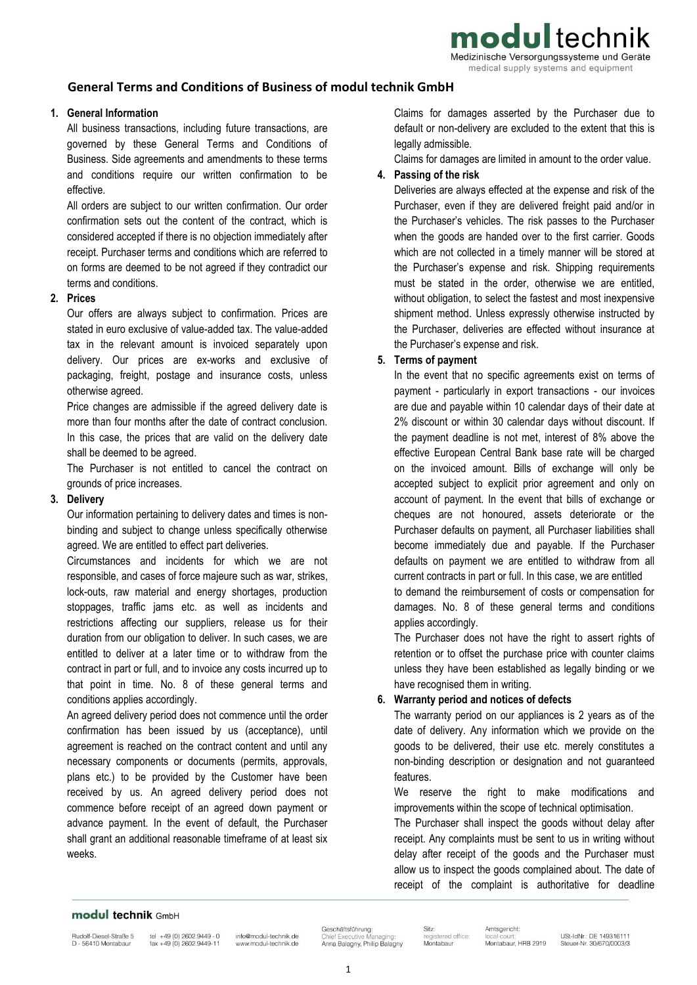modul technik

Medizinische Versorgungssysteme und Geräte medical supply systems and equipment

# **General Terms and Conditions of Business of modul technik GmbH**

## **1. General Information**

All business transactions, including future transactions, are governed by these General Terms and Conditions of Business. Side agreements and amendments to these terms and conditions require our written confirmation to be effective.

All orders are subject to our written confirmation. Our order confirmation sets out the content of the contract, which is considered accepted if there is no objection immediately after receipt. Purchaser terms and conditions which are referred to on forms are deemed to be not agreed if they contradict our terms and conditions.

#### **2. Prices**

Our offers are always subject to confirmation. Prices are stated in euro exclusive of value-added tax. The value-added tax in the relevant amount is invoiced separately upon delivery. Our prices are ex-works and exclusive of packaging, freight, postage and insurance costs, unless otherwise agreed.

Price changes are admissible if the agreed delivery date is more than four months after the date of contract conclusion. In this case, the prices that are valid on the delivery date shall be deemed to be agreed.

The Purchaser is not entitled to cancel the contract on grounds of price increases.

### **3. Delivery**

Our information pertaining to delivery dates and times is nonbinding and subject to change unless specifically otherwise agreed. We are entitled to effect part deliveries.

Circumstances and incidents for which we are not responsible, and cases of force majeure such as war, strikes, lock-outs, raw material and energy shortages, production stoppages, traffic jams etc. as well as incidents and restrictions affecting our suppliers, release us for their duration from our obligation to deliver. In such cases, we are entitled to deliver at a later time or to withdraw from the contract in part or full, and to invoice any costs incurred up to that point in time. No. 8 of these general terms and conditions applies accordingly.

An agreed delivery period does not commence until the order confirmation has been issued by us (acceptance), until agreement is reached on the contract content and until any necessary components or documents (permits, approvals, plans etc.) to be provided by the Customer have been received by us. An agreed delivery period does not commence before receipt of an agreed down payment or advance payment. In the event of default, the Purchaser shall grant an additional reasonable timeframe of at least six weeks.

Claims for damages asserted by the Purchaser due to default or non-delivery are excluded to the extent that this is legally admissible.

Claims for damages are limited in amount to the order value.

### **4. Passing of the risk**

Deliveries are always effected at the expense and risk of the Purchaser, even if they are delivered freight paid and/or in the Purchaser's vehicles. The risk passes to the Purchaser when the goods are handed over to the first carrier. Goods which are not collected in a timely manner will be stored at the Purchaser's expense and risk. Shipping requirements must be stated in the order, otherwise we are entitled, without obligation, to select the fastest and most inexpensive shipment method. Unless expressly otherwise instructed by the Purchaser, deliveries are effected without insurance at the Purchaser's expense and risk.

## **5. Terms of payment**

In the event that no specific agreements exist on terms of payment - particularly in export transactions - our invoices are due and payable within 10 calendar days of their date at 2% discount or within 30 calendar days without discount. If the payment deadline is not met, interest of 8% above the effective European Central Bank base rate will be charged on the invoiced amount. Bills of exchange will only be accepted subject to explicit prior agreement and only on account of payment. In the event that bills of exchange or cheques are not honoured, assets deteriorate or the Purchaser defaults on payment, all Purchaser liabilities shall become immediately due and payable. If the Purchaser defaults on payment we are entitled to withdraw from all current contracts in part or full. In this case, we are entitled to demand the reimbursement of costs or compensation for

damages. No. 8 of these general terms and conditions applies accordingly.

The Purchaser does not have the right to assert rights of retention or to offset the purchase price with counter claims unless they have been established as legally binding or we have recognised them in writing.

## **6. Warranty period and notices of defects**

The warranty period on our appliances is 2 years as of the date of delivery. Any information which we provide on the goods to be delivered, their use etc. merely constitutes a non-binding description or designation and not guaranteed features.

We reserve the right to make modifications and improvements within the scope of technical optimisation.

The Purchaser shall inspect the goods without delay after receipt. Any complaints must be sent to us in writing without delay after receipt of the goods and the Purchaser must allow us to inspect the goods complained about. The date of receipt of the complaint is authoritative for deadline

## modul technik GmbH

Rudolf-Diesel-Straße 5 D - 56410 Montabaur

tel +49 (0) 2602.9449 - 0 info@modul-technik.de fax +49 (0) 2602.9449-11 www.modul-technik.de

Geschäftsführung: **Executive** Anna Balagny, Philip Balagny

Sitz: Montabaur

Amtsgericht: tered office: Montabaur, HRB 2919